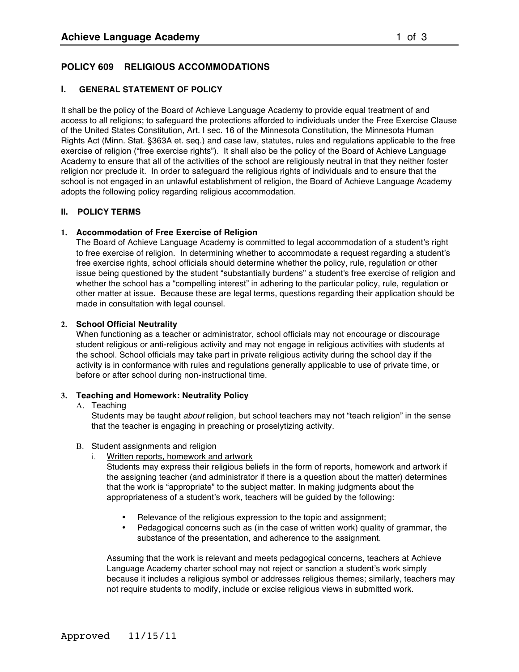# **POLICY 609 RELIGIOUS ACCOMMODATIONS**

### **I. GENERAL STATEMENT OF POLICY**

It shall be the policy of the Board of Achieve Language Academy to provide equal treatment of and access to all religions; to safeguard the protections afforded to individuals under the Free Exercise Clause of the United States Constitution, Art. I sec. 16 of the Minnesota Constitution, the Minnesota Human Rights Act (Minn. Stat. §363A et. seq.) and case law, statutes, rules and regulations applicable to the free exercise of religion ("free exercise rights"). It shall also be the policy of the Board of Achieve Language Academy to ensure that all of the activities of the school are religiously neutral in that they neither foster religion nor preclude it. In order to safeguard the religious rights of individuals and to ensure that the school is not engaged in an unlawful establishment of religion, the Board of Achieve Language Academy adopts the following policy regarding religious accommodation.

### **II. POLICY TERMS**

#### **1. Accommodation of Free Exercise of Religion**

The Board of Achieve Language Academy is committed to legal accommodation of a student's right to free exercise of religion. In determining whether to accommodate a request regarding a student's free exercise rights, school officials should determine whether the policy, rule, regulation or other issue being questioned by the student "substantially burdens" a student's free exercise of religion and whether the school has a "compelling interest" in adhering to the particular policy, rule, regulation or other matter at issue. Because these are legal terms, questions regarding their application should be made in consultation with legal counsel.

#### **2. School Official Neutrality**

When functioning as a teacher or administrator, school officials may not encourage or discourage student religious or anti-religious activity and may not engage in religious activities with students at the school. School officials may take part in private religious activity during the school day if the activity is in conformance with rules and regulations generally applicable to use of private time, or before or after school during non-instructional time.

#### **3. Teaching and Homework: Neutrality Policy**

#### A. Teaching

Students may be taught *about* religion, but school teachers may not "teach religion" in the sense that the teacher is engaging in preaching or proselytizing activity.

- B. Student assignments and religion
	- i. Written reports, homework and artwork

Students may express their religious beliefs in the form of reports, homework and artwork if the assigning teacher (and administrator if there is a question about the matter) determines that the work is "appropriate" to the subject matter. In making judgments about the appropriateness of a student's work, teachers will be guided by the following:

- Relevance of the religious expression to the topic and assignment;
- Pedagogical concerns such as (in the case of written work) quality of grammar, the substance of the presentation, and adherence to the assignment.

Assuming that the work is relevant and meets pedagogical concerns, teachers at Achieve Language Academy charter school may not reject or sanction a student's work simply because it includes a religious symbol or addresses religious themes; similarly, teachers may not require students to modify, include or excise religious views in submitted work.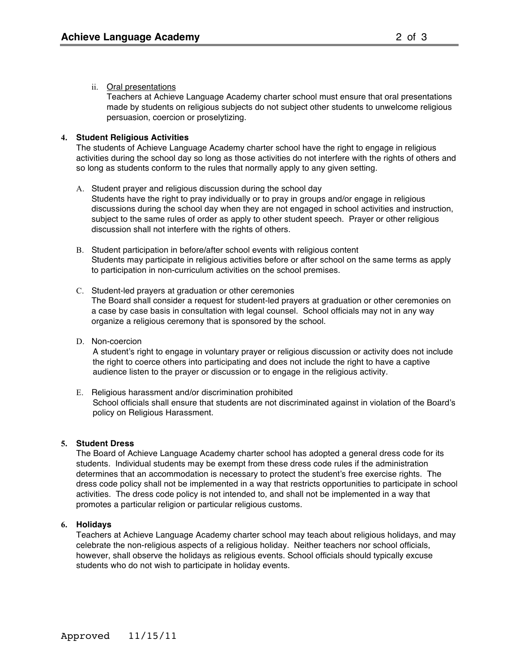Teachers at Achieve Language Academy charter school must ensure that oral presentations made by students on religious subjects do not subject other students to unwelcome religious persuasion, coercion or proselytizing.

## **4. Student Religious Activities**

The students of Achieve Language Academy charter school have the right to engage in religious activities during the school day so long as those activities do not interfere with the rights of others and so long as students conform to the rules that normally apply to any given setting.

- A. Student prayer and religious discussion during the school day Students have the right to pray individually or to pray in groups and/or engage in religious discussions during the school day when they are not engaged in school activities and instruction, subject to the same rules of order as apply to other student speech. Prayer or other religious discussion shall not interfere with the rights of others.
- B. Student participation in before/after school events with religious content Students may participate in religious activities before or after school on the same terms as apply to participation in non-curriculum activities on the school premises.
- C. Student-led prayers at graduation or other ceremonies The Board shall consider a request for student-led prayers at graduation or other ceremonies on a case by case basis in consultation with legal counsel. School officials may not in any way organize a religious ceremony that is sponsored by the school.
- D. Non-coercion

A student's right to engage in voluntary prayer or religious discussion or activity does not include the right to coerce others into participating and does not include the right to have a captive audience listen to the prayer or discussion or to engage in the religious activity.

E. Religious harassment and/or discrimination prohibited School officials shall ensure that students are not discriminated against in violation of the Board's policy on Religious Harassment.

### **5. Student Dress**

The Board of Achieve Language Academy charter school has adopted a general dress code for its students. Individual students may be exempt from these dress code rules if the administration determines that an accommodation is necessary to protect the student's free exercise rights. The dress code policy shall not be implemented in a way that restricts opportunities to participate in school activities. The dress code policy is not intended to, and shall not be implemented in a way that promotes a particular religion or particular religious customs.

### **6. Holidays**

Teachers at Achieve Language Academy charter school may teach about religious holidays, and may celebrate the non-religious aspects of a religious holiday. Neither teachers nor school officials, however, shall observe the holidays as religious events. School officials should typically excuse students who do not wish to participate in holiday events.